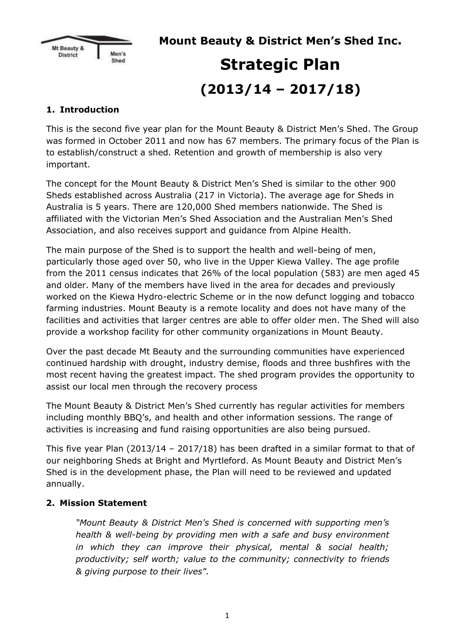

**Mount Beauty & District Men's Shed Inc.**

# **Strategic Plan (2013/14 – 2017/18)**

### **1. Introduction**

This is the second five year plan for the Mount Beauty & District Men's Shed. The Group was formed in October 2011 and now has 67 members. The primary focus of the Plan is to establish/construct a shed. Retention and growth of membership is also very important.

The concept for the Mount Beauty & District Men's Shed is similar to the other 900 Sheds established across Australia (217 in Victoria). The average age for Sheds in Australia is 5 years. There are 120,000 Shed members nationwide. The Shed is affiliated with the Victorian Men's Shed Association and the Australian Men's Shed Association, and also receives support and guidance from Alpine Health.

The main purpose of the Shed is to support the health and well-being of men, particularly those aged over 50, who live in the Upper Kiewa Valley. The age profile from the 2011 census indicates that 26% of the local population (583) are men aged 45 and older. Many of the members have lived in the area for decades and previously worked on the Kiewa Hydro-electric Scheme or in the now defunct logging and tobacco farming industries. Mount Beauty is a remote locality and does not have many of the facilities and activities that larger centres are able to offer older men. The Shed will also provide a workshop facility for other community organizations in Mount Beauty.

Over the past decade Mt Beauty and the surrounding communities have experienced continued hardship with drought, industry demise, floods and three bushfires with the most recent having the greatest impact. The shed program provides the opportunity to assist our local men through the recovery process

The Mount Beauty & District Men's Shed currently has regular activities for members including monthly BBQ's, and health and other information sessions. The range of activities is increasing and fund raising opportunities are also being pursued.

This five year Plan (2013/14 – 2017/18) has been drafted in a similar format to that of our neighboring Sheds at Bright and Myrtleford. As Mount Beauty and District Men's Shed is in the development phase, the Plan will need to be reviewed and updated annually.

#### **2. Mission Statement**

*"Mount Beauty & District Men's Shed is concerned with supporting men's health & well-being by providing men with a safe and busy environment in which they can improve their physical, mental & social health; productivity; self worth; value to the community; connectivity to friends & giving purpose to their lives".*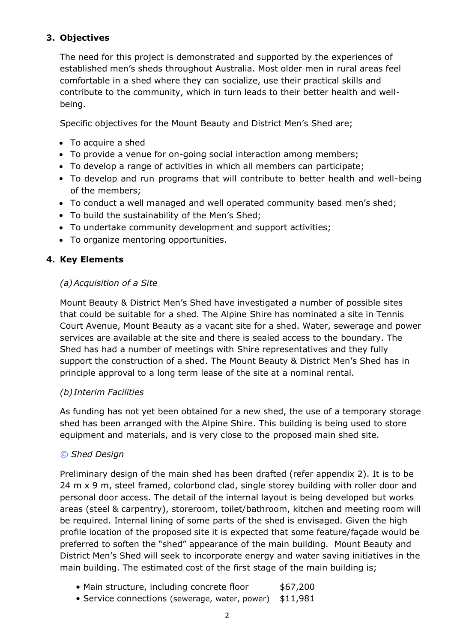#### **3. Objectives**

The need for this project is demonstrated and supported by the experiences of established men's sheds throughout Australia. Most older men in rural areas feel comfortable in a shed where they can socialize, use their practical skills and contribute to the community, which in turn leads to their better health and wellbeing.

Specific objectives for the Mount Beauty and District Men's Shed are;

- To acquire a shed
- To provide a venue for on-going social interaction among members;
- To develop a range of activities in which all members can participate;
- To develop and run programs that will contribute to better health and well-being of the members;
- To conduct a well managed and well operated community based men's shed;
- To build the sustainability of the Men's Shed;
- To undertake community development and support activities;
- To organize mentoring opportunities.

#### **4. Key Elements**

#### *(a)Acquisition of a Site*

Mount Beauty & District Men's Shed have investigated a number of possible sites that could be suitable for a shed. The Alpine Shire has nominated a site in Tennis Court Avenue, Mount Beauty as a vacant site for a shed. Water, sewerage and power services are available at the site and there is sealed access to the boundary. The Shed has had a number of meetings with Shire representatives and they fully support the construction of a shed. The Mount Beauty & District Men's Shed has in principle approval to a long term lease of the site at a nominal rental.

#### *(b) Interim Facilities*

As funding has not yet been obtained for a new shed, the use of a temporary storage shed has been arranged with the Alpine Shire. This building is being used to store equipment and materials, and is very close to the proposed main shed site.

#### *© Shed Design*

Preliminary design of the main shed has been drafted (refer appendix 2). It is to be 24 m x 9 m, steel framed, colorbond clad, single storey building with roller door and personal door access. The detail of the internal layout is being developed but works areas (steel & carpentry), storeroom, toilet/bathroom, kitchen and meeting room will be required. Internal lining of some parts of the shed is envisaged. Given the high profile location of the proposed site it is expected that some feature/façade would be preferred to soften the "shed" appearance of the main building. Mount Beauty and District Men's Shed will seek to incorporate energy and water saving initiatives in the main building. The estimated cost of the first stage of the main building is;

- Main structure, including concrete floor \$67,200
- Service connections (sewerage, water, power) \$11,981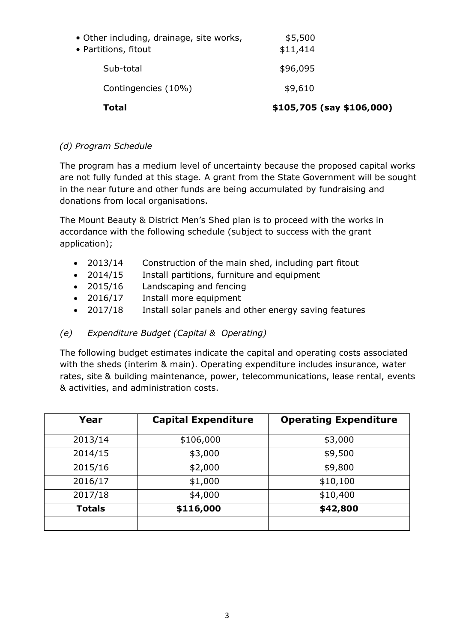| Total                                                            | \$105,705 (say \$106,000) |
|------------------------------------------------------------------|---------------------------|
| Contingencies (10%)                                              | \$9,610                   |
| Sub-total                                                        | \$96,095                  |
| • Other including, drainage, site works,<br>• Partitions, fitout | \$5,500<br>\$11,414       |

#### *(d) Program Schedule*

The program has a medium level of uncertainty because the proposed capital works are not fully funded at this stage. A grant from the State Government will be sought in the near future and other funds are being accumulated by fundraising and donations from local organisations.

The Mount Beauty & District Men's Shed plan is to proceed with the works in accordance with the following schedule (subject to success with the grant application);

- 2013/14 Construction of the main shed, including part fitout
- 2014/15 Install partitions, furniture and equipment
- 2015/16 Landscaping and fencing
- 2016/17 Install more equipment
- 2017/18 Install solar panels and other energy saving features

#### *(e) Expenditure Budget (Capital & Operating)*

The following budget estimates indicate the capital and operating costs associated with the sheds (interim & main). Operating expenditure includes insurance, water rates, site & building maintenance, power, telecommunications, lease rental, events & activities, and administration costs.

| Year          | <b>Capital Expenditure</b> | <b>Operating Expenditure</b> |
|---------------|----------------------------|------------------------------|
| 2013/14       | \$106,000                  | \$3,000                      |
| 2014/15       | \$3,000                    | \$9,500                      |
| 2015/16       | \$2,000                    | \$9,800                      |
| 2016/17       | \$1,000                    | \$10,100                     |
| 2017/18       | \$4,000                    | \$10,400                     |
| <b>Totals</b> | \$116,000                  | \$42,800                     |
|               |                            |                              |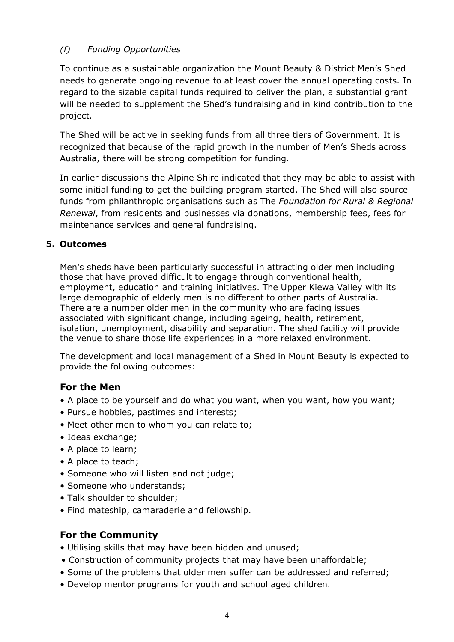#### *(f) Funding Opportunities*

To continue as a sustainable organization the Mount Beauty & District Men's Shed needs to generate ongoing revenue to at least cover the annual operating costs. In regard to the sizable capital funds required to deliver the plan, a substantial grant will be needed to supplement the Shed's fundraising and in kind contribution to the project.

The Shed will be active in seeking funds from all three tiers of Government. It is recognized that because of the rapid growth in the number of Men's Sheds across Australia, there will be strong competition for funding.

In earlier discussions the Alpine Shire indicated that they may be able to assist with some initial funding to get the building program started. The Shed will also source funds from philanthropic organisations such as The *Foundation for Rural & Regional Renewal*, from residents and businesses via donations, membership fees, fees for maintenance services and general fundraising.

#### **5. Outcomes**

Men's sheds have been particularly successful in attracting older men including those that have proved difficult to engage through conventional health, employment, education and training initiatives. The Upper Kiewa Valley with its large demographic of elderly men is no different to other parts of Australia. There are a number older men in the community who are facing issues associated with significant change, including ageing, health, retirement, isolation, unemployment, disability and separation. The shed facility will provide the venue to share those life experiences in a more relaxed environment.

The development and local management of a Shed in Mount Beauty is expected to provide the following outcomes:

#### **For the Men**

- A place to be yourself and do what you want, when you want, how you want;
- Pursue hobbies, pastimes and interests;
- Meet other men to whom you can relate to;
- Ideas exchange;
- A place to learn;
- A place to teach;
- Someone who will listen and not judge;
- Someone who understands;
- Talk shoulder to shoulder;
- Find mateship, camaraderie and fellowship.

#### **For the Community**

- Utilising skills that may have been hidden and unused;
- Construction of community projects that may have been unaffordable;
- Some of the problems that older men suffer can be addressed and referred;
- Develop mentor programs for youth and school aged children.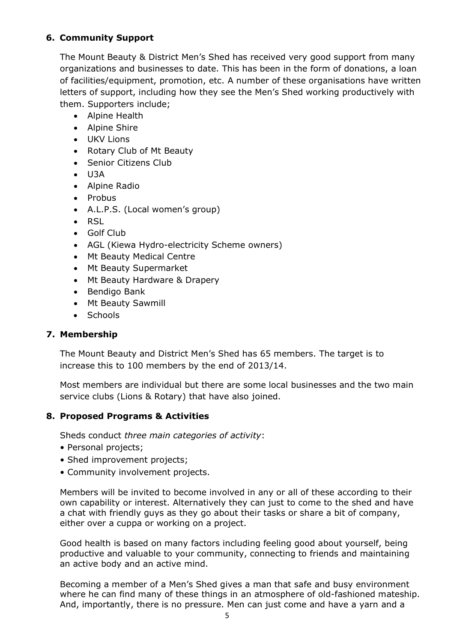#### **6. Community Support**

The Mount Beauty & District Men's Shed has received very good support from many organizations and businesses to date. This has been in the form of donations, a loan of facilities/equipment, promotion, etc. A number of these organisations have written letters of support, including how they see the Men's Shed working productively with them. Supporters include;

- Alpine Health
- Alpine Shire
- UKV Lions
- Rotary Club of Mt Beauty
- Senior Citizens Club
- U3A
- Alpine Radio
- Probus
- A.L.P.S. (Local women's group)
- RSL
- Golf Club
- AGL (Kiewa Hydro-electricity Scheme owners)
- Mt Beauty Medical Centre
- Mt Beauty Supermarket
- Mt Beauty Hardware & Drapery
- Bendigo Bank
- Mt Beauty Sawmill
- Schools

#### **7. Membership**

The Mount Beauty and District Men's Shed has 65 members. The target is to increase this to 100 members by the end of 2013/14.

Most members are individual but there are some local businesses and the two main service clubs (Lions & Rotary) that have also joined.

#### **8. Proposed Programs & Activities**

Sheds conduct *three main categories of activity*:

- Personal projects;
- Shed improvement projects;
- Community involvement projects.

Members will be invited to become involved in any or all of these according to their own capability or interest. Alternatively they can just to come to the shed and have a chat with friendly guys as they go about their tasks or share a bit of company, either over a cuppa or working on a project.

Good health is based on many factors including feeling good about yourself, being productive and valuable to your community, connecting to friends and maintaining an active body and an active mind.

Becoming a member of a Men's Shed gives a man that safe and busy environment where he can find many of these things in an atmosphere of old-fashioned mateship. And, importantly, there is no pressure. Men can just come and have a yarn and a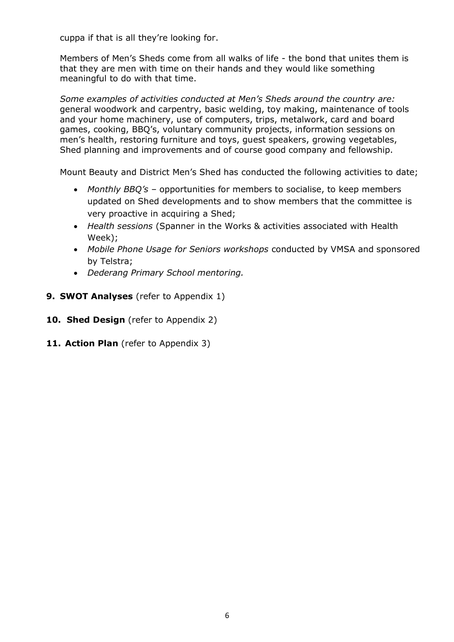cuppa if that is all they're looking for.

Members of Men's Sheds come from all walks of life - the bond that unites them is that they are men with time on their hands and they would like something meaningful to do with that time.

*Some examples of activities conducted at Men's Sheds around the country are:*  general woodwork and carpentry, basic welding, toy making, maintenance of tools and your home machinery, use of computers, trips, metalwork, card and board games, cooking, BBQ's, voluntary community projects, information sessions on men's health, restoring furniture and toys, guest speakers, growing vegetables, Shed planning and improvements and of course good company and fellowship.

Mount Beauty and District Men's Shed has conducted the following activities to date;

- *Monthly BBQ's* opportunities for members to socialise, to keep members updated on Shed developments and to show members that the committee is very proactive in acquiring a Shed;
- *Health sessions* (Spanner in the Works & activities associated with Health Week);
- *Mobile Phone Usage for Seniors workshops* conducted by VMSA and sponsored by Telstra;
- *Dederang Primary School mentoring.*
- **9. SWOT Analyses** (refer to Appendix 1)
- **10. Shed Design** (refer to Appendix 2)
- **11. Action Plan** (refer to Appendix 3)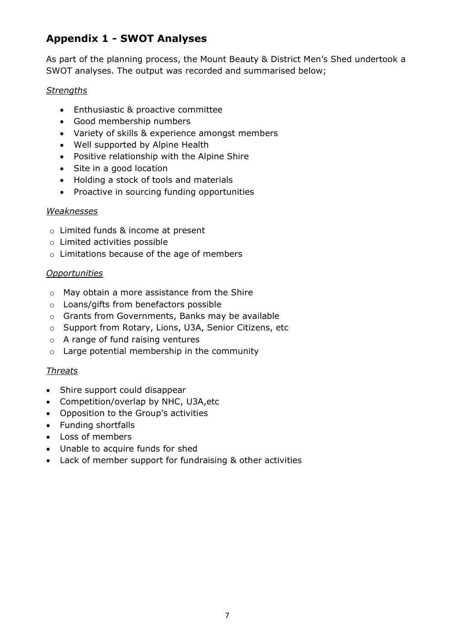## **Appendix 1 - SWOT Analyses**

As part of the planning process, the Mount Beauty & District Men's Shed undertook a SWOT analyses. The output was recorded and summarised below;

#### *Strengths*

- Enthusiastic & proactive committee
- Good membership numbers
- Variety of skills & experience amongst members
- Well supported by Alpine Health
- Positive relationship with the Alpine Shire
- Site in a good location
- Holding a stock of tools and materials
- Proactive in sourcing funding opportunities

#### *Weaknesses*

- o Limited funds & income at present
- o Limited activities possible
- o Limitations because of the age of members

#### *Opportunities*

- o May obtain a more assistance from the Shire
- o Loans/gifts from benefactors possible
- o Grants from Governments, Banks may be available
- o Support from Rotary, Lions, U3A, Senior Citizens, etc
- o A range of fund raising ventures
- o Large potential membership in the community

#### *Threats*

- Shire support could disappear
- Competition/overlap by NHC, U3A,etc
- Opposition to the Group's activities
- Funding shortfalls
- Loss of members
- Unable to acquire funds for shed
- Lack of member support for fundraising & other activities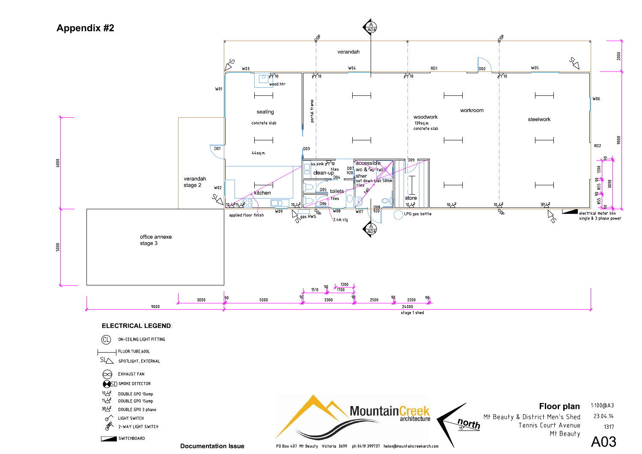

**Documentation Issue** 

PO Box 407 Mt Beauty Victoria 3699 ph 0419 399737 helen@mountaincreekarch.com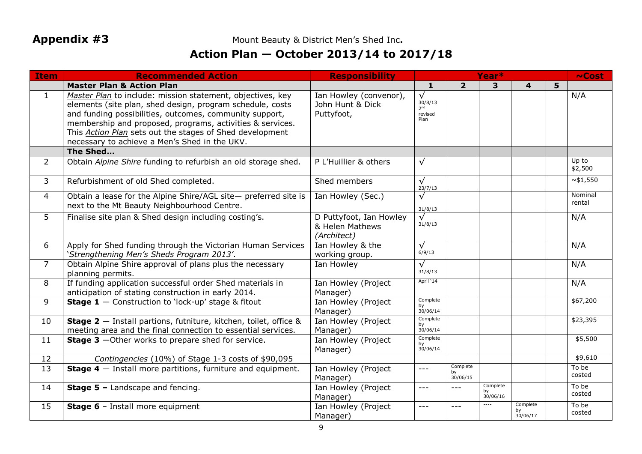Appendix #3 **Mount Beauty & District Men's Shed Inc. Appendix #3** Mount Beauty & District Men's Shed Inc.

# **Action Plan — October 2013/14 to 2017/18**

| <b>Item</b>    | <b>Recommended Action</b>                                                                                                                                                                                                                                                                                                                                           | <b>Responsibility</b>                                     | Year*                                                      |                            |                            |                            | $\sim$ Cost |                     |
|----------------|---------------------------------------------------------------------------------------------------------------------------------------------------------------------------------------------------------------------------------------------------------------------------------------------------------------------------------------------------------------------|-----------------------------------------------------------|------------------------------------------------------------|----------------------------|----------------------------|----------------------------|-------------|---------------------|
|                | <b>Master Plan &amp; Action Plan</b>                                                                                                                                                                                                                                                                                                                                |                                                           | 1                                                          | $\overline{2}$             | 3                          | 4                          | 5           |                     |
| $\mathbf{1}$   | Master Plan to include: mission statement, objectives, key<br>elements (site plan, shed design, program schedule, costs<br>and funding possibilities, outcomes, community support,<br>membership and proposed, programs, activities & services.<br>This <b>Action Plan</b> sets out the stages of Shed development<br>necessary to achieve a Men's Shed in the UKV. | Ian Howley (convenor),<br>John Hunt & Dick<br>Puttyfoot,  | $\sqrt{}$<br>30/8/13<br>2 <sup>nd</sup><br>revised<br>Plan |                            |                            |                            |             | N/A                 |
|                | The Shed                                                                                                                                                                                                                                                                                                                                                            |                                                           |                                                            |                            |                            |                            |             |                     |
| $\overline{2}$ | Obtain Alpine Shire funding to refurbish an old storage shed.                                                                                                                                                                                                                                                                                                       | P L'Huillier & others                                     | $\sqrt{}$                                                  |                            |                            |                            |             | Up to<br>\$2,500    |
| 3              | Refurbishment of old Shed completed.                                                                                                                                                                                                                                                                                                                                | Shed members                                              | $\sqrt{}$<br>23/7/13                                       |                            |                            |                            |             | $\overline{81,550}$ |
| 4              | Obtain a lease for the Alpine Shire/AGL site- preferred site is<br>next to the Mt Beauty Neighbourhood Centre.                                                                                                                                                                                                                                                      | Ian Howley (Sec.)                                         | $\sqrt{}$<br>31/8/13                                       |                            |                            |                            |             | Nominal<br>rental   |
| 5              | Finalise site plan & Shed design including costing's.                                                                                                                                                                                                                                                                                                               | D Puttyfoot, Ian Howley<br>& Helen Mathews<br>(Architect) | $\sqrt{}$<br>31/8/13                                       |                            |                            |                            |             | N/A                 |
| 6              | Apply for Shed funding through the Victorian Human Services<br>'Strengthening Men's Sheds Program 2013'.                                                                                                                                                                                                                                                            | Ian Howley & the<br>working group.                        | $\sqrt{}$<br>6/9/13                                        |                            |                            |                            |             | N/A                 |
| $\overline{7}$ | Obtain Alpine Shire approval of plans plus the necessary<br>planning permits.                                                                                                                                                                                                                                                                                       | Ian Howley                                                | $\sqrt{}$<br>31/8/13                                       |                            |                            |                            |             | N/A                 |
| 8              | If funding application successful order Shed materials in<br>anticipation of stating construction in early 2014.                                                                                                                                                                                                                                                    | Ian Howley (Project<br>Manager)                           | April '14                                                  |                            |                            |                            |             | N/A                 |
| 9              | <b>Stage 1</b> $-$ Construction to 'lock-up' stage & fitout                                                                                                                                                                                                                                                                                                         | Ian Howley (Project<br>Manager)                           | Complete<br>by<br>30/06/14                                 |                            |                            |                            |             | \$67,200            |
| 10             | <b>Stage 2</b> $-$ Install partions, futniture, kitchen, toilet, office &<br>meeting area and the final connection to essential services.                                                                                                                                                                                                                           | Ian Howley (Project<br>Manager)                           | Complete<br>by<br>30/06/14                                 |                            |                            |                            |             | \$23,395            |
| 11             | Stage 3 - Other works to prepare shed for service.                                                                                                                                                                                                                                                                                                                  | Ian Howley (Project<br>Manager)                           | Complete<br>by<br>30/06/14                                 |                            |                            |                            |             | \$5,500             |
| 12             | Contingencies (10%) of Stage 1-3 costs of \$90,095                                                                                                                                                                                                                                                                                                                  |                                                           |                                                            |                            |                            |                            |             | \$9,610             |
| 13             | <b>Stage 4</b> $-$ Install more partitions, furniture and equipment.                                                                                                                                                                                                                                                                                                | Ian Howley (Project<br>Manager)                           | $---$                                                      | Complete<br>by<br>30/06/15 |                            |                            |             | To be<br>costed     |
| 14             | <b>Stage 5 - Landscape and fencing.</b>                                                                                                                                                                                                                                                                                                                             | Ian Howley (Project<br>Manager)                           | $---$                                                      | $---$                      | Complete<br>bv<br>30/06/16 |                            |             | To be<br>costed     |
| 15             | Stage 6 - Install more equipment                                                                                                                                                                                                                                                                                                                                    | Ian Howley (Project<br>Manager)                           | $---$                                                      |                            | $---$                      | Complete<br>by<br>30/06/17 |             | To be<br>costed     |